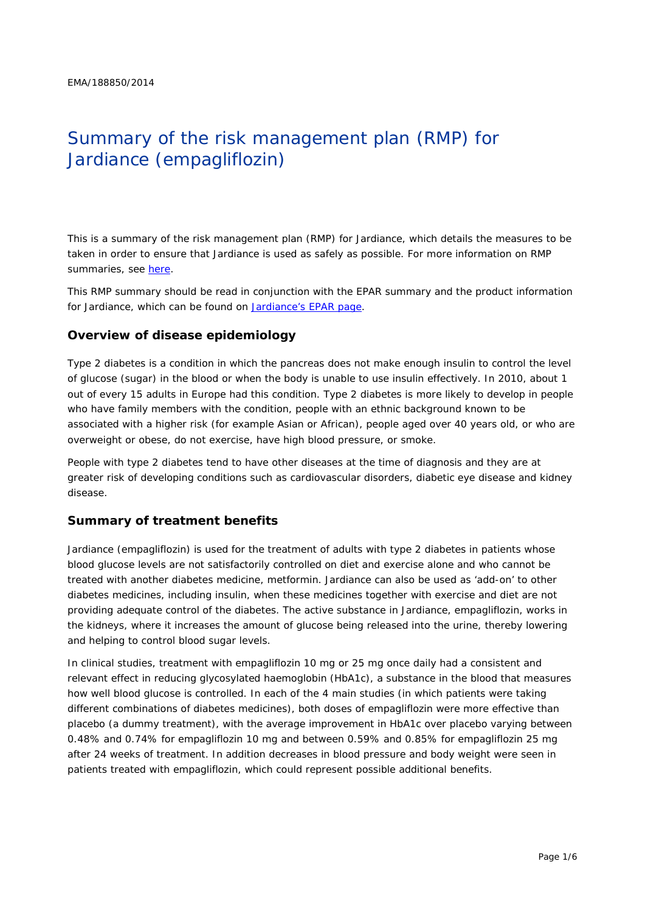# Summary of the risk management plan (RMP) for Jardiance (empagliflozin)

This is a summary of the risk management plan (RMP) for Jardiance, which details the measures to be taken in order to ensure that Jardiance is used as safely as possible. For more information on RMP summaries, see [here.](http://www.ema.europa.eu/docs/en_GB/document_library/Other/2014/05/WC500166101.pdf)

This RMP summary should be read in conjunction with the EPAR summary and the product information for Jardiance, which can be found on [Jardiance's EPAR page.](http://www.ema.europa.eu/ema/index.jsp?curl=/pages/medicines/human/medicines/002677/human_med_001764.jsp)

## **Overview of disease epidemiology**

Type 2 diabetes is a condition in which the pancreas does not make enough insulin to control the level of glucose (sugar) in the blood or when the body is unable to use insulin effectively. In 2010, about 1 out of every 15 adults in Europe had this condition. Type 2 diabetes is more likely to develop in people who have family members with the condition, people with an ethnic background known to be associated with a higher risk (for example Asian or African), people aged over 40 years old, or who are overweight or obese, do not exercise, have high blood pressure, or smoke.

People with type 2 diabetes tend to have other diseases at the time of diagnosis and they are at greater risk of developing conditions such as cardiovascular disorders, diabetic eye disease and kidney disease.

## **Summary of treatment benefits**

Jardiance (empagliflozin) is used for the treatment of adults with type 2 diabetes in patients whose blood glucose levels are not satisfactorily controlled on diet and exercise alone and who cannot be treated with another diabetes medicine, metformin. Jardiance can also be used as 'add-on' to other diabetes medicines, including insulin, when these medicines together with exercise and diet are not providing adequate control of the diabetes. The active substance in Jardiance, empagliflozin, works in the kidneys, where it increases the amount of glucose being released into the urine, thereby lowering and helping to control blood sugar levels.

In clinical studies, treatment with empagliflozin 10 mg or 25 mg once daily had a consistent and relevant effect in reducing glycosylated haemoglobin (HbA1c), a substance in the blood that measures how well blood glucose is controlled. In each of the 4 main studies (in which patients were taking different combinations of diabetes medicines), both doses of empagliflozin were more effective than placebo (a dummy treatment), with the average improvement in HbA1c over placebo varying between 0.48% and 0.74% for empagliflozin 10 mg and between 0.59% and 0.85% for empagliflozin 25 mg after 24 weeks of treatment. In addition decreases in blood pressure and body weight were seen in patients treated with empagliflozin, which could represent possible additional benefits.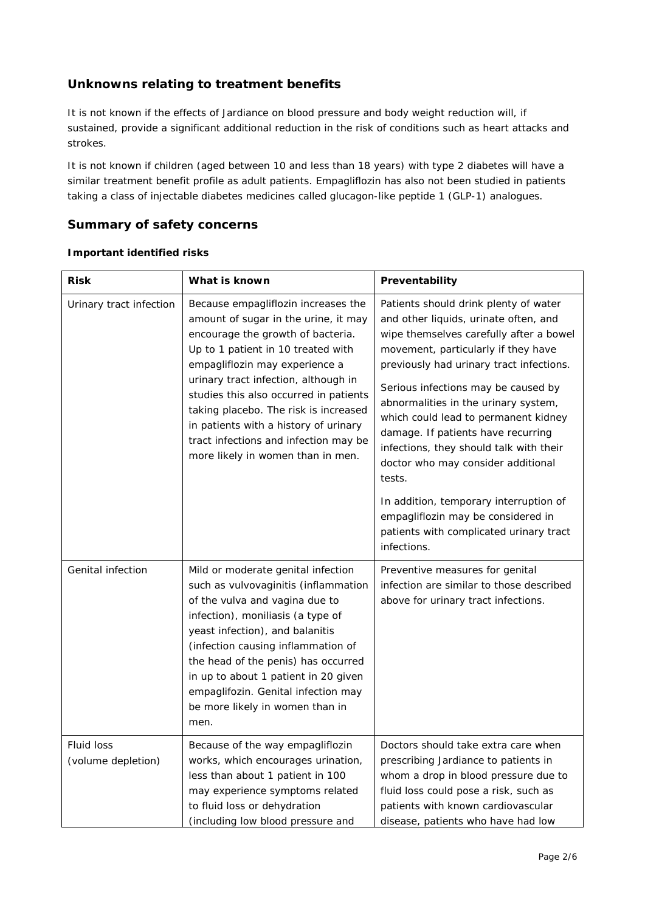# **Unknowns relating to treatment benefits**

It is not known if the effects of Jardiance on blood pressure and body weight reduction will, if sustained, provide a significant additional reduction in the risk of conditions such as heart attacks and strokes.

It is not known if children (aged between 10 and less than 18 years) with type 2 diabetes will have a similar treatment benefit profile as adult patients. Empagliflozin has also not been studied in patients taking a class of injectable diabetes medicines called glucagon-like peptide 1 (GLP-1) analogues.

## **Summary of safety concerns**

#### *Important identified risks*

| <b>Risk</b>                      | What is known                                                                                                                                                                                                                                                                                                                                                                                                                              | Preventability                                                                                                                                                                                                                                                                                                                                                                                                                                                                                                                                                                                                 |  |  |
|----------------------------------|--------------------------------------------------------------------------------------------------------------------------------------------------------------------------------------------------------------------------------------------------------------------------------------------------------------------------------------------------------------------------------------------------------------------------------------------|----------------------------------------------------------------------------------------------------------------------------------------------------------------------------------------------------------------------------------------------------------------------------------------------------------------------------------------------------------------------------------------------------------------------------------------------------------------------------------------------------------------------------------------------------------------------------------------------------------------|--|--|
| Urinary tract infection          | Because empagliflozin increases the<br>amount of sugar in the urine, it may<br>encourage the growth of bacteria.<br>Up to 1 patient in 10 treated with<br>empagliflozin may experience a<br>urinary tract infection, although in<br>studies this also occurred in patients<br>taking placebo. The risk is increased<br>in patients with a history of urinary<br>tract infections and infection may be<br>more likely in women than in men. | Patients should drink plenty of water<br>and other liquids, urinate often, and<br>wipe themselves carefully after a bowel<br>movement, particularly if they have<br>previously had urinary tract infections.<br>Serious infections may be caused by<br>abnormalities in the urinary system,<br>which could lead to permanent kidney<br>damage. If patients have recurring<br>infections, they should talk with their<br>doctor who may consider additional<br>tests.<br>In addition, temporary interruption of<br>empagliflozin may be considered in<br>patients with complicated urinary tract<br>infections. |  |  |
| <b>Genital infection</b>         | Mild or moderate genital infection<br>such as vulvovaginitis (inflammation<br>of the vulva and vagina due to<br>infection), moniliasis (a type of<br>yeast infection), and balanitis<br>(infection causing inflammation of<br>the head of the penis) has occurred<br>in up to about 1 patient in 20 given<br>empaglifozin. Genital infection may<br>be more likely in women than in<br>men.                                                | Preventive measures for genital<br>infection are similar to those described<br>above for urinary tract infections.                                                                                                                                                                                                                                                                                                                                                                                                                                                                                             |  |  |
| Fluid loss<br>(volume depletion) | Because of the way empagliflozin<br>works, which encourages urination,<br>less than about 1 patient in 100<br>may experience symptoms related<br>to fluid loss or dehydration<br>(including low blood pressure and                                                                                                                                                                                                                         | Doctors should take extra care when<br>prescribing Jardiance to patients in<br>whom a drop in blood pressure due to<br>fluid loss could pose a risk, such as<br>patients with known cardiovascular<br>disease, patients who have had low                                                                                                                                                                                                                                                                                                                                                                       |  |  |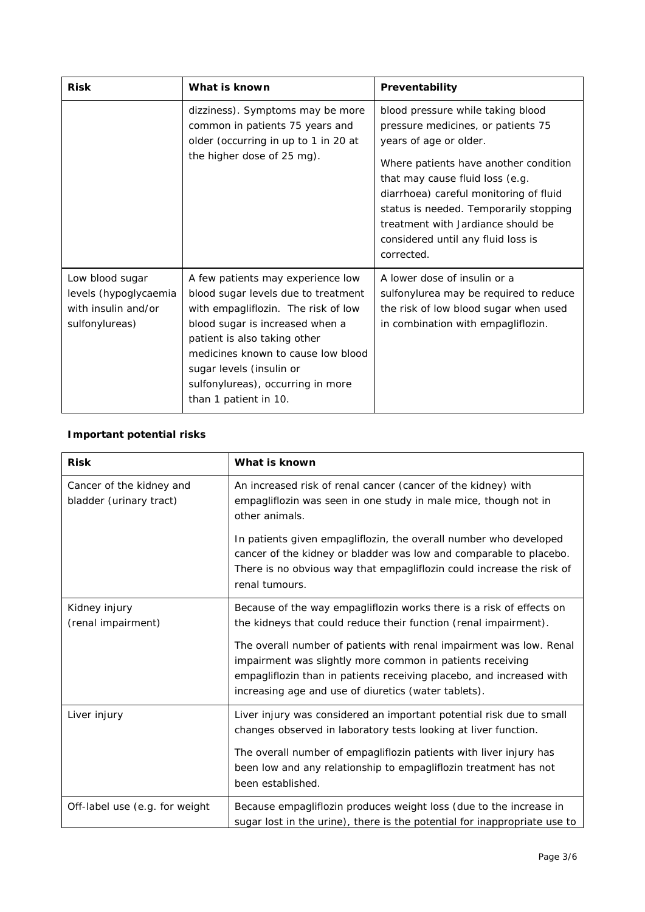| <b>Risk</b>                                                                       | What is known                                                                                                                                                                                                                                                                                                      | Preventability                                                                                                                                                                                                                                                                                                                                              |  |
|-----------------------------------------------------------------------------------|--------------------------------------------------------------------------------------------------------------------------------------------------------------------------------------------------------------------------------------------------------------------------------------------------------------------|-------------------------------------------------------------------------------------------------------------------------------------------------------------------------------------------------------------------------------------------------------------------------------------------------------------------------------------------------------------|--|
|                                                                                   | dizziness). Symptoms may be more<br>common in patients 75 years and<br>older (occurring in up to 1 in 20 at<br>the higher dose of 25 mg).                                                                                                                                                                          | blood pressure while taking blood<br>pressure medicines, or patients 75<br>years of age or older.<br>Where patients have another condition<br>that may cause fluid loss (e.g.<br>diarrhoea) careful monitoring of fluid<br>status is needed. Temporarily stopping<br>treatment with Jardiance should be<br>considered until any fluid loss is<br>corrected. |  |
| Low blood sugar<br>levels (hypoglycaemia<br>with insulin and/or<br>sulfonylureas) | A few patients may experience low<br>blood sugar levels due to treatment<br>with empagliflozin. The risk of low<br>blood sugar is increased when a<br>patient is also taking other<br>medicines known to cause low blood<br>sugar levels (insulin or<br>sulfonylureas), occurring in more<br>than 1 patient in 10. | A lower dose of insulin or a<br>sulfonylurea may be required to reduce<br>the risk of low blood sugar when used<br>in combination with empagliflozin.                                                                                                                                                                                                       |  |

# *Important potential risks*

| <b>Risk</b>                                         | What is known                                                                                                                                                                                                                                                    |
|-----------------------------------------------------|------------------------------------------------------------------------------------------------------------------------------------------------------------------------------------------------------------------------------------------------------------------|
| Cancer of the kidney and<br>bladder (urinary tract) | An increased risk of renal cancer (cancer of the kidney) with<br>empagliflozin was seen in one study in male mice, though not in<br>other animals.                                                                                                               |
|                                                     | In patients given empagliflozin, the overall number who developed<br>cancer of the kidney or bladder was low and comparable to placebo.<br>There is no obvious way that empagliflozin could increase the risk of<br>renal tumours.                               |
| Kidney injury<br>(renal impairment)                 | Because of the way empagliflozin works there is a risk of effects on<br>the kidneys that could reduce their function (renal impairment).                                                                                                                         |
|                                                     | The overall number of patients with renal impairment was low. Renal<br>impairment was slightly more common in patients receiving<br>empagliflozin than in patients receiving placebo, and increased with<br>increasing age and use of diuretics (water tablets). |
| Liver injury                                        | Liver injury was considered an important potential risk due to small<br>changes observed in laboratory tests looking at liver function.                                                                                                                          |
|                                                     | The overall number of empagliflozin patients with liver injury has<br>been low and any relationship to empagliflozin treatment has not<br>been established.                                                                                                      |
| Off-label use (e.g. for weight                      | Because empagliflozin produces weight loss (due to the increase in<br>sugar lost in the urine), there is the potential for inappropriate use to                                                                                                                  |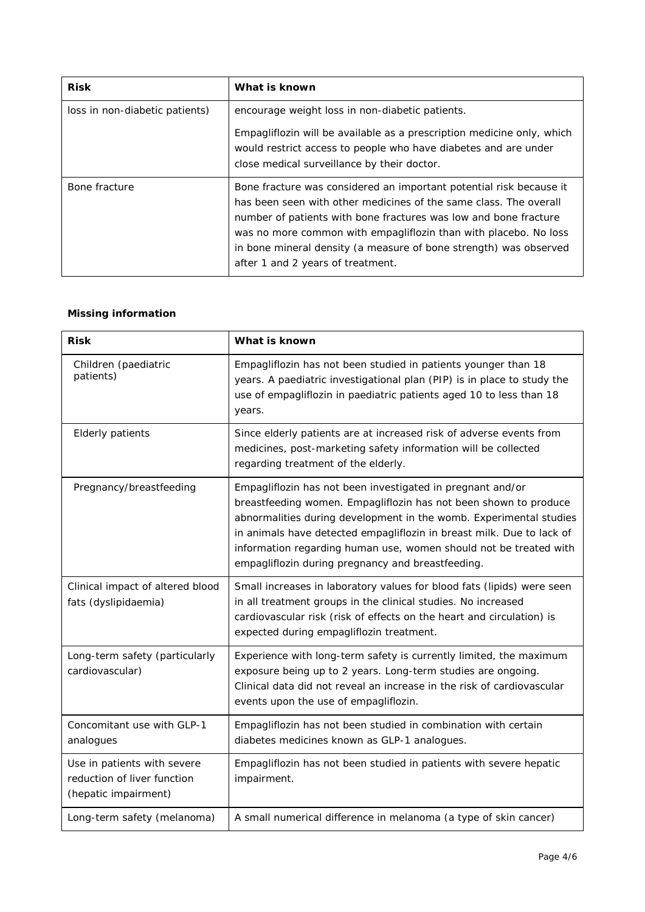| <b>Risk</b>                    | What is known                                                                                                                                                                                                                                                                                                                                                                              |  |
|--------------------------------|--------------------------------------------------------------------------------------------------------------------------------------------------------------------------------------------------------------------------------------------------------------------------------------------------------------------------------------------------------------------------------------------|--|
| loss in non-diabetic patients) | encourage weight loss in non-diabetic patients.<br>Empagliflozin will be available as a prescription medicine only, which<br>would restrict access to people who have diabetes and are under<br>close medical surveillance by their doctor.                                                                                                                                                |  |
| Bone fracture                  | Bone fracture was considered an important potential risk because it<br>has been seen with other medicines of the same class. The overall<br>number of patients with bone fractures was low and bone fracture<br>was no more common with empagliflozin than with placebo. No loss<br>in bone mineral density (a measure of bone strength) was observed<br>after 1 and 2 years of treatment. |  |

#### *Missing information*

| <b>Risk</b>                                                                        | What is known                                                                                                                                                                                                                                                                                                                                                                                           |
|------------------------------------------------------------------------------------|---------------------------------------------------------------------------------------------------------------------------------------------------------------------------------------------------------------------------------------------------------------------------------------------------------------------------------------------------------------------------------------------------------|
| Children (paediatric<br>patients)                                                  | Empagliflozin has not been studied in patients younger than 18<br>years. A paediatric investigational plan (PIP) is in place to study the<br>use of empagliflozin in paediatric patients aged 10 to less than 18<br>years.                                                                                                                                                                              |
| <b>Elderly patients</b>                                                            | Since elderly patients are at increased risk of adverse events from<br>medicines, post-marketing safety information will be collected<br>regarding treatment of the elderly.                                                                                                                                                                                                                            |
| Pregnancy/breastfeeding                                                            | Empagliflozin has not been investigated in pregnant and/or<br>breastfeeding women. Empagliflozin has not been shown to produce<br>abnormalities during development in the womb. Experimental studies<br>in animals have detected empagliflozin in breast milk. Due to lack of<br>information regarding human use, women should not be treated with<br>empagliflozin during pregnancy and breastfeeding. |
| Clinical impact of altered blood<br>fats (dyslipidaemia)                           | Small increases in laboratory values for blood fats (lipids) were seen<br>in all treatment groups in the clinical studies. No increased<br>cardiovascular risk (risk of effects on the heart and circulation) is<br>expected during empagliflozin treatment.                                                                                                                                            |
| Long-term safety (particularly<br>cardiovascular)                                  | Experience with long-term safety is currently limited, the maximum<br>exposure being up to 2 years. Long-term studies are ongoing.<br>Clinical data did not reveal an increase in the risk of cardiovascular<br>events upon the use of empagliflozin.                                                                                                                                                   |
| Concomitant use with GLP-1<br>analogues                                            | Empagliflozin has not been studied in combination with certain<br>diabetes medicines known as GLP-1 analogues.                                                                                                                                                                                                                                                                                          |
| Use in patients with severe<br>reduction of liver function<br>(hepatic impairment) | Empagliflozin has not been studied in patients with severe hepatic<br>impairment.                                                                                                                                                                                                                                                                                                                       |
| Long-term safety (melanoma)                                                        | A small numerical difference in melanoma (a type of skin cancer)                                                                                                                                                                                                                                                                                                                                        |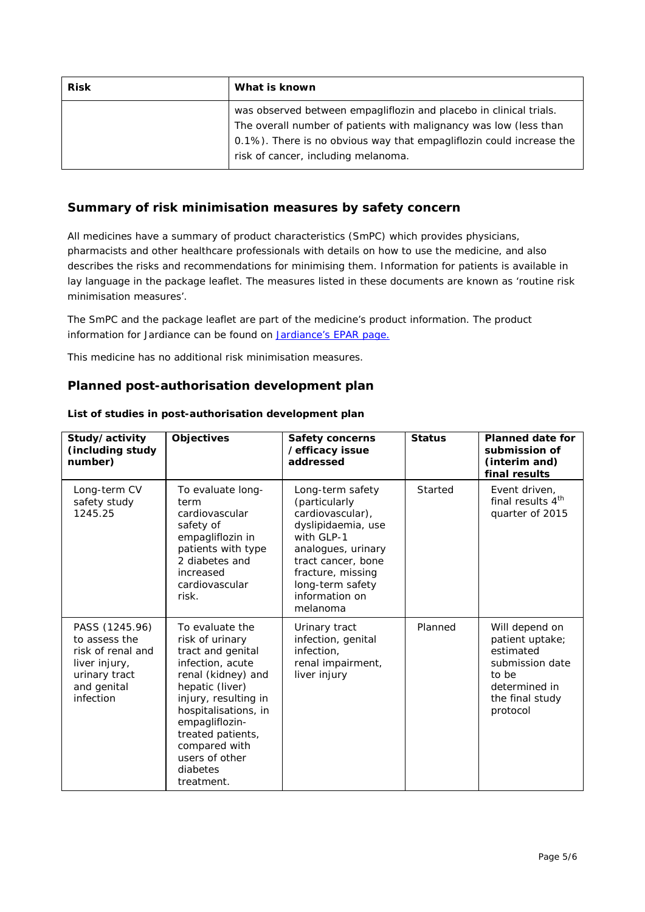| <b>Risk</b> | What is known                                                                                                                                                                                                   |  |
|-------------|-----------------------------------------------------------------------------------------------------------------------------------------------------------------------------------------------------------------|--|
|             | was observed between empagliflozin and placebo in clinical trials.<br>The overall number of patients with malignancy was low (less than<br>0.1%). There is no obvious way that empagliflozin could increase the |  |
|             | risk of cancer, including melanoma.                                                                                                                                                                             |  |

## **Summary of risk minimisation measures by safety concern**

All medicines have a summary of product characteristics (SmPC) which provides physicians, pharmacists and other healthcare professionals with details on how to use the medicine, and also describes the risks and recommendations for minimising them. Information for patients is available in lay language in the package leaflet. The measures listed in these documents are known as 'routine risk minimisation measures'.

The SmPC and the package leaflet are part of the medicine's product information. The product information for Jardiance can be found on [Jardiance's EPAR page.](http://www.ema.europa.eu/ema/index.jsp?curl=/pages/medicines/human/medicines/002677/human_med_001764.jsp)

This medicine has no additional risk minimisation measures.

### **Planned post-authorisation development plan**

| Study/activity<br>(including study<br>number)                                                                      | <b>Objectives</b>                                                                                                                                                                                                                                                        | <b>Safety concerns</b><br>/efficacy issue<br>addressed                                                                                                                                                       | <b>Status</b> | <b>Planned date for</b><br>submission of<br>(interim and)<br>final results                                                 |
|--------------------------------------------------------------------------------------------------------------------|--------------------------------------------------------------------------------------------------------------------------------------------------------------------------------------------------------------------------------------------------------------------------|--------------------------------------------------------------------------------------------------------------------------------------------------------------------------------------------------------------|---------------|----------------------------------------------------------------------------------------------------------------------------|
| Long-term CV<br>safety study<br>1245.25                                                                            | To evaluate long-<br>term<br>cardiovascular<br>safety of<br>empagliflozin in<br>patients with type<br>2 diabetes and<br>increased<br>cardiovascular<br>risk.                                                                                                             | Long-term safety<br>(particularly<br>cardiovascular),<br>dyslipidaemia, use<br>with GLP-1<br>analogues, urinary<br>tract cancer, bone<br>fracture, missing<br>long-term safety<br>information on<br>melanoma | Started       | Event driven,<br>final results 4 <sup>th</sup><br>quarter of 2015                                                          |
| PASS (1245.96)<br>to assess the<br>risk of renal and<br>liver injury,<br>urinary tract<br>and genital<br>infection | To evaluate the<br>risk of urinary<br>tract and genital<br>infection, acute<br>renal (kidney) and<br>hepatic (liver)<br>injury, resulting in<br>hospitalisations, in<br>empagliflozin-<br>treated patients,<br>compared with<br>users of other<br>diabetes<br>treatment. | Urinary tract<br>infection, genital<br>infection,<br>renal impairment,<br>liver injury                                                                                                                       | Planned       | Will depend on<br>patient uptake;<br>estimated<br>submission date<br>to be<br>determined in<br>the final study<br>protocol |

#### *List of studies in post-authorisation development plan*